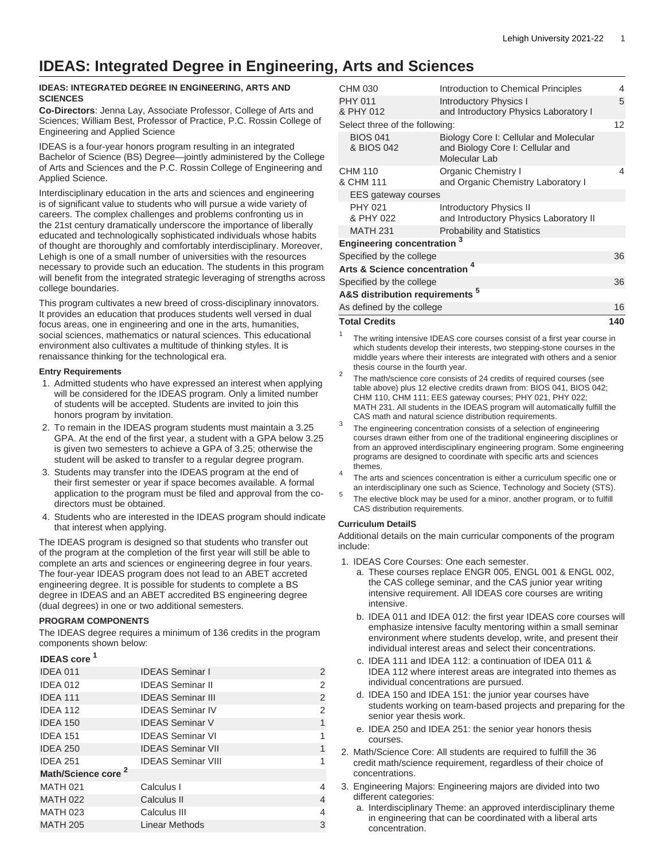# **IDEAS: Integrated Degree in Engineering, Arts and Sciences**

### **IDEAS: INTEGRATED DEGREE IN ENGINEERING, ARTS AND SCIENCES**

**Co-Directors**: Jenna Lay, Associate Professor, College of Arts and Sciences; William Best, Professor of Practice, P.C. Rossin College of Engineering and Applied Science

IDEAS is a four-year honors program resulting in an integrated Bachelor of Science (BS) Degree—jointly administered by the College of Arts and Sciences and the P.C. Rossin College of Engineering and Applied Science.

Interdisciplinary education in the arts and sciences and engineering is of significant value to students who will pursue a wide variety of careers. The complex challenges and problems confronting us in the 21st century dramatically underscore the importance of liberally educated and technologically sophisticated individuals whose habits of thought are thoroughly and comfortably interdisciplinary. Moreover, Lehigh is one of a small number of universities with the resources necessary to provide such an education. The students in this program will benefit from the integrated strategic leveraging of strengths across college boundaries.

This program cultivates a new breed of cross-disciplinary innovators. It provides an education that produces students well versed in dual focus areas, one in engineering and one in the arts, humanities, social sciences, mathematics or natural sciences. This educational environment also cultivates a multitude of thinking styles. It is renaissance thinking for the technological era.

#### **Entry Requirements**

- 1. Admitted students who have expressed an interest when applying will be considered for the IDEAS program. Only a limited number of students will be accepted. Students are invited to join this honors program by invitation.
- 2. To remain in the IDEAS program students must maintain a 3.25 GPA. At the end of the first year, a student with a GPA below 3.25 is given two semesters to achieve a GPA of 3.25; otherwise the student will be asked to transfer to a regular degree program.
- 3. Students may transfer into the IDEAS program at the end of their first semester or year if space becomes available. A formal application to the program must be filed and approval from the codirectors must be obtained.
- 4. Students who are interested in the IDEAS program should indicate that interest when applying.

The IDEAS program is designed so that students who transfer out of the program at the completion of the first year will still be able to complete an arts and sciences or engineering degree in four years. The four-year IDEAS program does not lead to an ABET accreted engineering degree. It is possible for students to complete a BS degree in IDEAS and an ABET accredited BS engineering degree (dual degrees) in one or two additional semesters.

### **PROGRAM COMPONENTS**

The IDEAS degree requires a minimum of 136 credits in the program components shown below:

# **IDEAS core <sup>1</sup>**

| סוטט טרבעו                     |                           |   |
|--------------------------------|---------------------------|---|
| IDEA 011                       | <b>IDEAS Seminar I</b>    | 2 |
| <b>IDEA 012</b>                | <b>IDEAS Seminar II</b>   | 2 |
| <b>IDEA 111</b>                | <b>IDEAS Seminar III</b>  | 2 |
| <b>IDEA 112</b>                | <b>IDEAS Seminar IV</b>   | 2 |
| <b>IDEA 150</b>                | <b>IDEAS Seminar V</b>    | 1 |
| <b>IDEA 151</b>                | <b>IDEAS Seminar VI</b>   | 1 |
| <b>IDEA 250</b>                | <b>IDEAS Seminar VII</b>  | 1 |
| <b>IDEA 251</b>                | <b>IDEAS Seminar VIII</b> |   |
| Math/Science core <sup>2</sup> |                           |   |
| <b>MATH 021</b>                | Calculus I                | 4 |
| <b>MATH 022</b>                | Calculus II               | 4 |
| <b>MATH 023</b>                | Calculus III              | 4 |
| <b>MATH 205</b>                | Linear Methods            | 3 |

| <b>Total Credits</b>                       |                                                                                             | 140 |
|--------------------------------------------|---------------------------------------------------------------------------------------------|-----|
| As defined by the college                  |                                                                                             | 16  |
| A&S distribution requirements <sup>5</sup> |                                                                                             |     |
| Specified by the college                   |                                                                                             | 36  |
| <b>Arts &amp; Science concentration</b>    |                                                                                             |     |
| Specified by the college                   |                                                                                             | 36  |
| 3<br><b>Engineering concentration</b>      |                                                                                             |     |
| <b>MATH 231</b>                            | <b>Probability and Statistics</b>                                                           |     |
| <b>PHY 021</b><br>& PHY 022                | <b>Introductory Physics II</b><br>and Introductory Physics Laboratory II                    |     |
| EES gateway courses                        |                                                                                             |     |
| <b>CHM 110</b><br>& CHM 111                | <b>Organic Chemistry I</b><br>and Organic Chemistry Laboratory I                            | 4   |
| <b>BIOS 041</b><br>& BIOS 042              | Biology Core I: Cellular and Molecular<br>and Biology Core I: Cellular and<br>Molecular Lab |     |
| Select three of the following:             |                                                                                             | 12  |
| <b>PHY 011</b><br>& PHY 012                | <b>Introductory Physics I</b><br>and Introductory Physics Laboratory I                      | 5   |
| CHM 030                                    | Introduction to Chemical Principles                                                         | 4   |

1 The writing intensive IDEAS core courses consist of a first year course in which students develop their interests, two stepping-stone courses in the middle years where their interests are integrated with others and a senior thesis course in the fourth year.

- 2 The math/science core consists of 24 credits of required courses (see table above) plus 12 elective credits drawn from: BIOS 041, BIOS 042; CHM 110, CHM 111; EES gateway courses; PHY 021, PHY 022; MATH 231. All students in the IDEAS program will automatically fulfill the CAS math and natural science distribution requirements.
- 3 The engineering concentration consists of a selection of engineering courses drawn either from one of the traditional engineering disciplines or from an approved interdisciplinary engineering program. Some engineering programs are designed to coordinate with specific arts and sciences themes.
- 4 The arts and sciences concentration is either a curriculum specific one or an interdisciplinary one such as Science, Technology and Society (STS).
- 5 The elective block may be used for a minor, another program, or to fulfill CAS distribution requirements.

### **Curriculum DetailS**

Additional details on the main curricular components of the program include:

- 1. IDEAS Core Courses: One each semester.
	- a. These courses replace ENGR 005, ENGL 001 & ENGL 002, the CAS college seminar, and the CAS junior year writing intensive requirement. All IDEAS core courses are writing intensive.
	- b. IDEA 011 and IDEA 012: the first year IDEAS core courses will emphasize intensive faculty mentoring within a small seminar environment where students develop, write, and present their individual interest areas and select their concentrations.
	- c. IDEA 111 and IDEA 112: a continuation of IDEA 011 & IDEA 112 where interest areas are integrated into themes as individual concentrations are pursued.
	- d. IDEA 150 and IDEA 151: the junior year courses have students working on team-based projects and preparing for the senior year thesis work.
	- e. IDEA 250 and IDEA 251: the senior year honors thesis courses.
- 2. Math/Science Core: All students are required to fulfill the 36 credit math/science requirement, regardless of their choice of concentrations.
- 3. Engineering Majors: Engineering majors are divided into two different categories:
	- a. Interdisciplinary Theme: an approved interdisciplinary theme in engineering that can be coordinated with a liberal arts concentration.